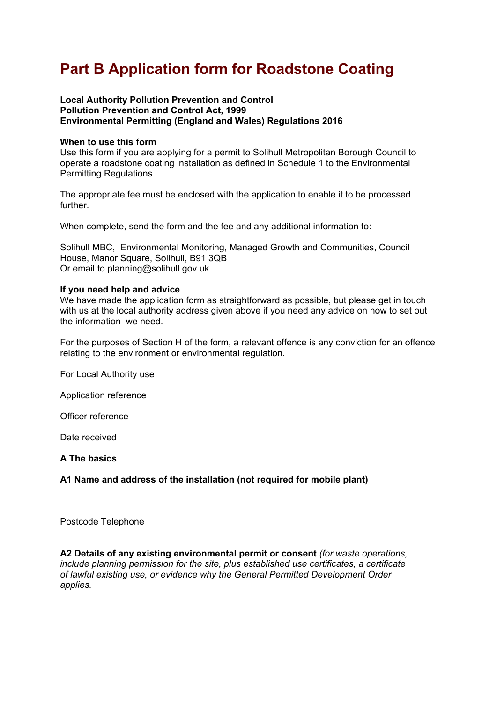# **Part B Application form for Roadstone Coating**

#### **Local Authority Pollution Prevention and Control Pollution Prevention and Control Act, 1999 Environmental Permitting (England and Wales) Regulations 2016**

#### **When to use this form**

Use this form if you are applying for a permit to Solihull Metropolitan Borough Council to operate a roadstone coating installation as defined in Schedule 1 to the Environmental Permitting Regulations.

The appropriate fee must be enclosed with the application to enable it to be processed further.

When complete, send the form and the fee and any additional information to:

Solihull MBC, Environmental Monitoring, Managed Growth and Communities, Council House, Manor Square, Solihull, B91 3QB Or email to planning@solihull.gov.uk

#### **If you need help and advice**

We have made the application form as straightforward as possible, but please get in touch with us at the local authority address given above if you need any advice on how to set out the information we need.

For the purposes of Section H of the form, a relevant offence is any conviction for an offence relating to the environment or environmental regulation.

For Local Authority use

Application reference

Officer reference

Date received

**A The basics** 

**A1 Name and address of the installation (not required for mobile plant)** 

Postcode Telephone

**A2 Details of any existing environmental permit or consent** *(for waste operations, include planning permission for the site, plus established use certificates, a certificate of lawful existing use, or evidence why the General Permitted Development Order applies.*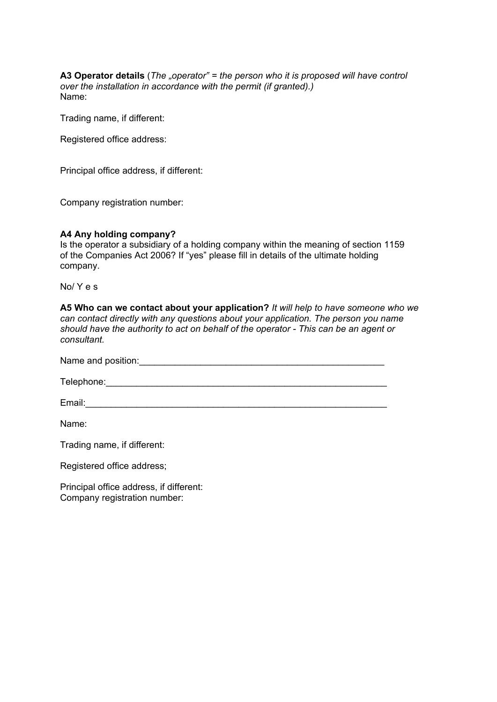**A3 Operator details** (*The "operator" = the person who it is proposed will have control over the installation in accordance with the permit (if granted).)*  Name:

Trading name, if different:

Registered office address:

Principal office address, if different:

Company registration number:

#### **A4 Any holding company?**

Is the operator a subsidiary of a holding company within the meaning of section 1159 of the Companies Act 2006? If "yes" please fill in details of the ultimate holding company.

No/ Y e s

**A5 Who can we contact about your application?** *It will help to have someone who we can contact directly with any questions about your application. The person you name should have the authority to act on behalf of the operator - This can be an agent or consultant.* 

Name and position:

 $\textsf{Telephone:}\underline{\hspace{2.5em}}$ 

Email:\_\_\_\_\_\_\_\_\_\_\_\_\_\_\_\_\_\_\_\_\_\_\_\_\_\_\_\_\_\_\_\_\_\_\_\_\_\_\_\_\_\_\_\_\_\_\_\_\_\_\_\_\_\_\_\_\_\_\_

Name:

Trading name, if different:

Registered office address;

Principal office address, if different: Company registration number: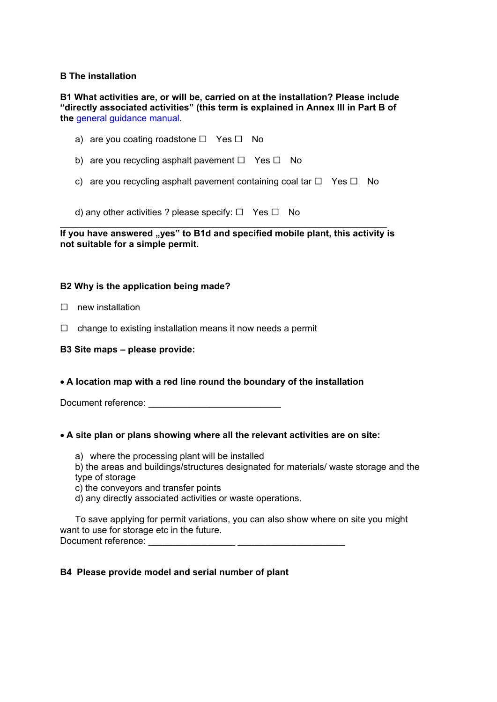# **B The installation**

**B1 What activities are, or will be, carried on at the installation? Please include "directly associated activities" (this term is explained in Annex III in Part B of the** general guidance manual.

- a) are you coating roadstone  $\Box$  Yes  $\Box$  No
- b) are you recycling asphalt pavement  $\Box$  Yes  $\Box$  No
- c) are you recycling asphalt pavement containing coal tar  $\Box$  Yes  $\Box$  No

d) any other activities ? please specify:  $\Box$  Yes  $\Box$  No

**If you have answered "yes" to B1d and specified mobile plant, this activity is not suitable for a simple permit.** 

#### **B2 Why is the application being made?**

- $\Box$  new installation
- $\Box$  change to existing installation means it now needs a permit

#### **B3 Site maps – please provide:**

**A location map with a red line round the boundary of the installation** 

Document reference: **Example 20** 

#### **A site plan or plans showing where all the relevant activities are on site:**

- a) where the processing plant will be installed
- b) the areas and buildings/structures designated for materials/ waste storage and the type of storage
- c) the conveyors and transfer points
- d) any directly associated activities or waste operations.

To save applying for permit variations, you can also show where on site you might want to use for storage etc in the future. Document reference:

#### **B4 Please provide model and serial number of plant**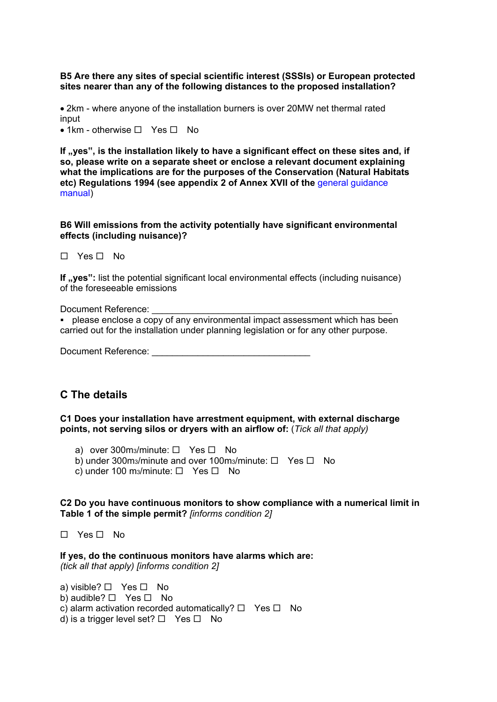**B5 Are there any sites of special scientific interest (SSSIs) or European protected sites nearer than any of the following distances to the proposed installation?** 

2km - where anyone of the installation burners is over 20MW net thermal rated input

 $\bullet$  1km - otherwise  $\Box$  Yes  $\Box$  No

If ..yes", is the installation likely to have a significant effect on these sites and, if **so, please write on a separate sheet or enclose a relevant document explaining what the implications are for the purposes of the Conservation (Natural Habitats etc) Regulations 1994 (see appendix 2 of Annex XVII of the** general guidance manual)

#### **B6 Will emissions from the activity potentially have significant environmental effects (including nuisance)?**

 $\Box$  Yes  $\Box$  No.

**If ,yes":** list the potential significant local environmental effects (including nuisance) of the foreseeable emissions

Document Reference:

please enclose a copy of any environmental impact assessment which has been carried out for the installation under planning legislation or for any other purpose.

Document Reference:

# **C The details**

**C1 Does your installation have arrestment equipment, with external discharge points, not serving silos or dryers with an airflow of:** (*Tick all that apply)* 

a) over 300m<sub>3</sub>/minute:  $\Box$  Yes  $\Box$  No

- b) under 300m<sub>3</sub>/minute and over 100m<sub>3</sub>/minute:  $\Box$  Yes  $\Box$  No
- c) under 100 m<sub>3</sub>/minute:  $\Box$  Yes  $\Box$  No

#### **C2 Do you have continuous monitors to show compliance with a numerical limit in Table 1 of the simple permit?** *[informs condition 2]*

 $\Box$  Yes  $\Box$  No

**If yes, do the continuous monitors have alarms which are:**  *(tick all that apply) [informs condition 2]* 

a) visible?  $\Box$  Yes  $\Box$  No b) audible?  $\Box$  Yes  $\Box$  No c) alarm activation recorded automatically?  $\Box$  Yes  $\Box$  No d) is a trigger level set?  $\Box$  Yes  $\Box$  No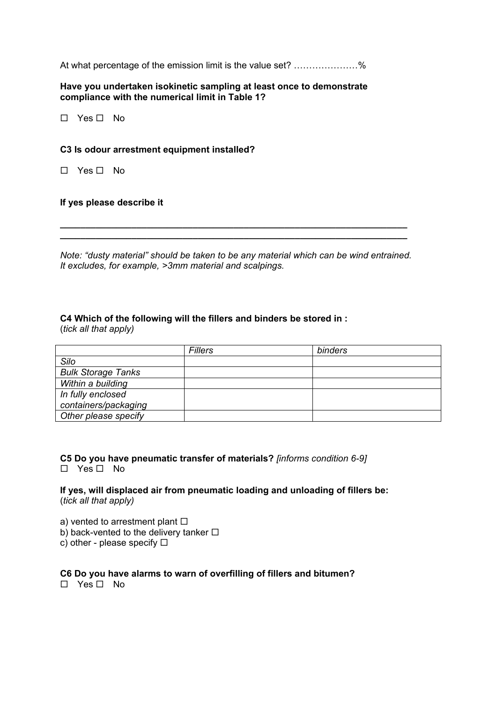At what percentage of the emission limit is the value set? …………………%

**Have you undertaken isokinetic sampling at least once to demonstrate compliance with the numerical limit in Table 1?** 

 $\Box$  Yes  $\Box$  No

#### **C3 Is odour arrestment equipment installed?**

 $\Box$  Yes  $\Box$  No.

#### **If yes please describe it**

*Note: "dusty material" should be taken to be any material which can be wind entrained. It excludes, for example, >3mm material and scalpings.* 

*\_\_\_\_\_\_\_\_\_\_\_\_\_\_\_\_\_\_\_\_\_\_\_\_\_\_\_\_\_\_\_\_\_\_\_\_\_\_\_\_\_\_\_\_\_\_\_\_\_\_\_\_\_\_\_\_\_\_\_\_\_\_\_\_\_\_\_\_ \_\_\_\_\_\_\_\_\_\_\_\_\_\_\_\_\_\_\_\_\_\_\_\_\_\_\_\_\_\_\_\_\_\_\_\_\_\_\_\_\_\_\_\_\_\_\_\_\_\_\_\_\_\_\_\_\_\_\_\_\_\_\_\_\_\_\_\_* 

#### **C4 Which of the following will the fillers and binders be stored in :**

(*tick all that apply)* 

|                           | <b>Fillers</b> | binders |
|---------------------------|----------------|---------|
| Silo                      |                |         |
| <b>Bulk Storage Tanks</b> |                |         |
| Within a building         |                |         |
| In fully enclosed         |                |         |
| containers/packaging      |                |         |
| Other please specify      |                |         |

**C5 Do you have pneumatic transfer of materials?** *[informs condition 6-9]*   $\Box$  Yes  $\Box$  No

**If yes, will displaced air from pneumatic loading and unloading of fillers be:**  (*tick all that apply)* 

a) vented to arrestment plant  $\square$ b) back-vented to the delivery tanker  $\Box$ 

c) other - please specify  $\square$ 

# **C6 Do you have alarms to warn of overfilling of fillers and bitumen?**

 $\Box$  Yes  $\Box$  No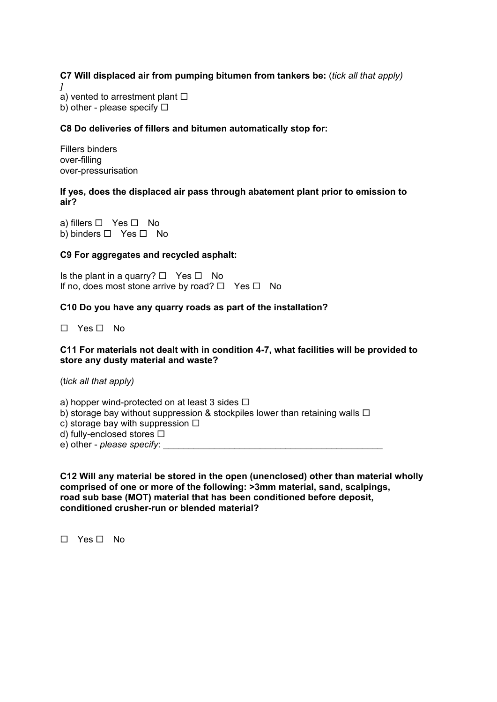**C7 Will displaced air from pumping bitumen from tankers be:** (*tick all that apply) ]*  a) vented to arrestment plant  $\square$ 

b) other - please specify  $\Box$ 

# **C8 Do deliveries of fillers and bitumen automatically stop for:**

Fillers binders over-filling over-pressurisation

#### **If yes, does the displaced air pass through abatement plant prior to emission to air?**

a) fillers  $\Box$  Yes  $\Box$  No b) binders  $\Box$  Yes  $\Box$  No

## **C9 For aggregates and recycled asphalt:**

Is the plant in a quarry?  $\Box$  Yes  $\Box$  No If no, does most stone arrive by road?  $\Box$  Yes  $\Box$  No

## **C10 Do you have any quarry roads as part of the installation?**

 $\Box$  Yes  $\Box$  No

#### **C11 For materials not dealt with in condition 4-7, what facilities will be provided to store any dusty material and waste?**

(t*ick all that apply)* 

a) hopper wind-protected on at least 3 sides  $\Box$ 

b) storage bay without suppression & stockpiles lower than retaining walls  $\Box$ 

c) storage bay with suppression  $\Box$ 

d) fully-enclosed stores  $\square$ 

e) other - *please specify*:

**C12 Will any material be stored in the open (unenclosed) other than material wholly comprised of one or more of the following: >3mm material, sand, scalpings, road sub base (MOT) material that has been conditioned before deposit, conditioned crusher-run or blended material?** 

 $\Box$  Yes  $\Box$  No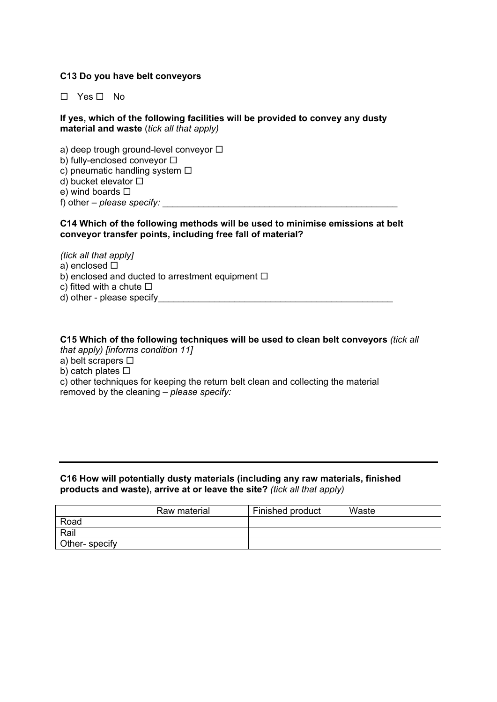# **C13 Do you have belt conveyors**

 $\Box$  Yes  $\Box$  No.

## **If yes, which of the following facilities will be provided to convey any dusty material and waste** (*tick all that apply)*

a) deep trough ground-level conveyor  $\Box$ b) fully-enclosed conveyor  $\square$ c) pneumatic handling system  $\Box$ d) bucket elevator  $\square$ e) wind boards  $\square$ f) other – *please specify:* 

## **C14 Which of the following methods will be used to minimise emissions at belt conveyor transfer points, including free fall of material?**

*(tick all that apply]*  a) enclosed  $\square$ b) enclosed and ducted to arrestment equipment  $\Box$ c) fitted with a chute  $\square$ d) other - please specify

## **C15 Which of the following techniques will be used to clean belt conveyors** *(tick all that apply) [informs condition 11]*

- a) belt scrapers  $\square$
- b) catch plates  $\square$

c) other techniques for keeping the return belt clean and collecting the material removed by the cleaning – *please specify:* 

## **C16 How will potentially dusty materials (including any raw materials, finished products and waste), arrive at or leave the site?** *(tick all that apply)*

|               | Raw material | Finished product | Waste |
|---------------|--------------|------------------|-------|
| Road          |              |                  |       |
| Rail          |              |                  |       |
| Other-specify |              |                  |       |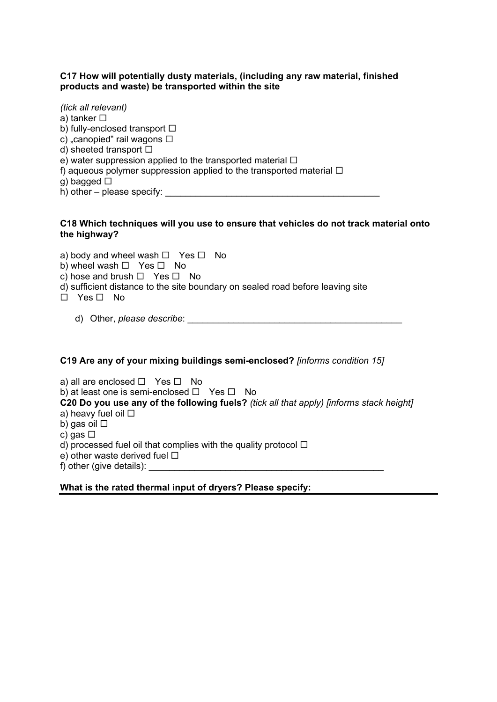## **C17 How will potentially dusty materials, (including any raw material, finished products and waste) be transported within the site**

*(tick all relevant)*  a) tanker  $\square$ b) fully-enclosed transport  $\square$ c) "canopied" rail wagons  $\Box$ d) sheeted transport  $\square$ e) water suppression applied to the transported material  $\Box$ f) aqueous polymer suppression applied to the transported material  $\Box$  $q)$  bagged  $\Box$  $h)$  other – please specify:

## **C18 Which techniques will you use to ensure that vehicles do not track material onto the highway?**

a) body and wheel wash  $\Box$  Yes  $\Box$  No b) wheel wash  $\Box$  Yes  $\Box$  No c) hose and brush  $\Box$  Yes  $\Box$  No d) sufficient distance to the site boundary on sealed road before leaving site  $\Box$  Yes  $\Box$  No d) Other, *please describe*: \_\_\_\_\_\_\_\_\_\_\_\_\_\_\_\_\_\_\_\_\_\_\_\_\_\_\_\_\_\_\_\_\_\_\_\_\_\_\_\_\_\_

# **C19 Are any of your mixing buildings semi-enclosed?** *[informs condition 15]*

a) all are enclosed  $\Box$  Yes  $\Box$  No b) at least one is semi-enclosed  $\Box$  Yes  $\Box$  No **C20 Do you use any of the following fuels?** *(tick all that apply) [informs stack height]*  a) heavy fuel oil □ b) gas oil □ c) gas  $\Box$ d) processed fuel oil that complies with the quality protocol  $\Box$ e) other waste derived fuel  $\square$ f) other (give details):

# **What is the rated thermal input of dryers? Please specify:**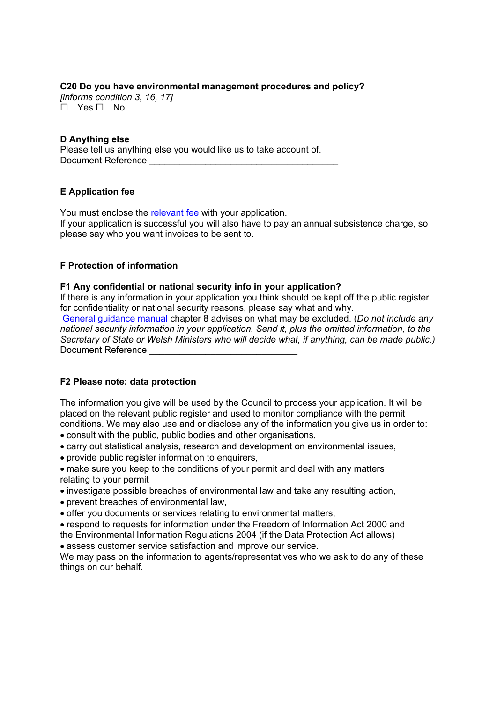# **C20 Do you have environmental management procedures and policy?**

*[informs condition 3, 16, 17]*  .<br>□ Yes □ No

# **D Anything else**

Please tell us anything else you would like us to take account of. Document Reference

# **E Application fee**

You must enclose the relevant fee with your application. If your application is successful you will also have to pay an annual subsistence charge, so please say who you want invoices to be sent to.

# **F Protection of information**

## **F1 Any confidential or national security info in your application?**

If there is any information in your application you think should be kept off the public register for confidentiality or national security reasons, please say what and why.

General guidance manual chapter 8 advises on what may be excluded. (*Do not include any national security information in your application. Send it, plus the omitted information, to the Secretary of State or Welsh Ministers who will decide what, if anything, can be made public.)*  Document Reference

# **F2 Please note: data protection**

The information you give will be used by the Council to process your application. It will be placed on the relevant public register and used to monitor compliance with the permit conditions. We may also use and or disclose any of the information you give us in order to: consult with the public, public bodies and other organisations,

- 
- carry out statistical analysis, research and development on environmental issues,
- provide public register information to enquirers,
- make sure you keep to the conditions of your permit and deal with any matters relating to your permit
- investigate possible breaches of environmental law and take any resulting action,
- prevent breaches of environmental law,
- offer you documents or services relating to environmental matters,
- respond to requests for information under the Freedom of Information Act 2000 and the Environmental Information Regulations 2004 (if the Data Protection Act allows)
- assess customer service satisfaction and improve our service.

We may pass on the information to agents/representatives who we ask to do any of these things on our behalf.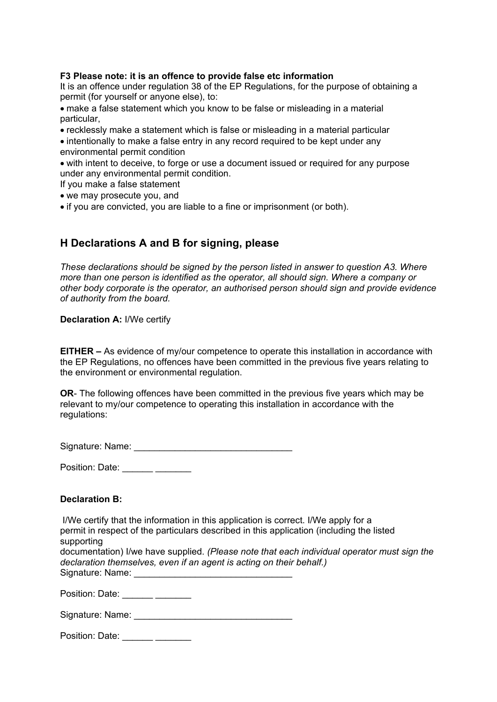# **F3 Please note: it is an offence to provide false etc information**

It is an offence under regulation 38 of the EP Regulations, for the purpose of obtaining a permit (for yourself or anyone else), to:

- make a false statement which you know to be false or misleading in a material particular,
- recklessly make a statement which is false or misleading in a material particular
- intentionally to make a false entry in any record required to be kept under any environmental permit condition
- with intent to deceive, to forge or use a document issued or required for any purpose under any environmental permit condition.
- If you make a false statement
- we may prosecute you, and
- if you are convicted, you are liable to a fine or imprisonment (or both).

# **H Declarations A and B for signing, please**

*These declarations should be signed by the person listed in answer to question A3. Where more than one person is identified as the operator, all should sign. Where a company or other body corporate is the operator, an authorised person should sign and provide evidence of authority from the board.* 

## **Declaration A:** I/We certify

**EITHER –** As evidence of my/our competence to operate this installation in accordance with the EP Regulations, no offences have been committed in the previous five years relating to the environment or environmental regulation.

**OR**- The following offences have been committed in the previous five years which may be relevant to my/our competence to operating this installation in accordance with the regulations:

Signature: Name: \_\_\_\_\_\_\_\_\_\_\_\_\_\_\_\_\_\_\_\_\_\_\_\_\_\_\_\_\_\_\_

Position: Date: \_\_\_\_\_\_ \_\_\_\_\_\_\_

# **Declaration B:**

I/We certify that the information in this application is correct. I/We apply for a permit in respect of the particulars described in this application (including the listed supporting documentation) I/we have supplied. *(Please note that each individual operator must sign the declaration themselves, even if an agent is acting on their behalf.)*  Signature: Name: \_\_\_\_\_\_\_\_\_\_\_\_\_\_\_\_\_\_\_\_\_\_\_\_\_\_\_\_\_\_\_

Position: Date: \_\_\_\_\_\_ \_\_\_\_\_\_\_

| Signature: Name: |  |
|------------------|--|
|                  |  |

Position: Date: \_\_\_\_\_\_ \_\_\_\_\_\_\_